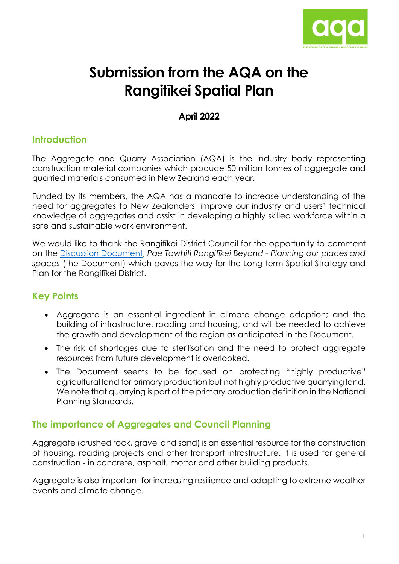

# **Submission from the AQA on the Rangitīkei Spatial Plan**

## **April 2022**

## **Introduction**

The Aggregate and Quarry Association (AQA) is the industry body representing construction material companies which produce 50 million tonnes of aggregate and quarried materials consumed in New Zealand each year.

Funded by its members, the AQA has a mandate to increase understanding of the need for aggregates to New Zealanders, improve our industry and users' technical knowledge of aggregates and assist in developing a highly skilled workforce within a safe and sustainable work environment.

We would like to thank the Rangitrikei District Council for the opportunity to comment on the [Discussion Document,](https://www.rangitikei.govt.nz/council/strategies-plans-policies-bylaws/strategies/pae-tawhiti-rangitikei-beyond) *Pae Tawhiti Rangitīkei Beyond - Planning our places and spaces* (the Document) which paves the way for the Long-term Spatial Strategy and Plan for the Rangitīkei District.

## **Key Points**

- Aggregate is an essential ingredient in climate change adaption; and the building of infrastructure, roading and housing, and will be needed to achieve the growth and development of the region as anticipated in the Document.
- The risk of shortages due to sterilisation and the need to protect aggregate resources from future development is overlooked.
- The Document seems to be focused on protecting "highly productive" agricultural land for primary production but not highly productive quarrying land. We note that quarrying is part of the primary production definition in the National Planning Standards.

## **The importance of Aggregates and Council Planning**

Aggregate (crushed rock, gravel and sand) is an essential resource for the construction of housing, roading projects and other transport infrastructure. It is used for general construction - in concrete, asphalt, mortar and other building products.

Aggregate is also important for increasing resilience and adapting to extreme weather events and climate change.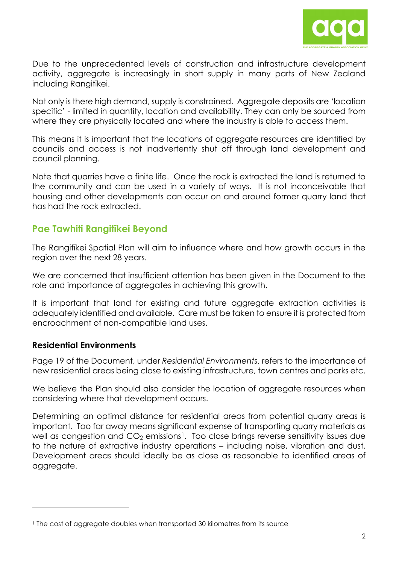

Due to the unprecedented levels of construction and infrastructure development activity, aggregate is increasingly in short supply in many parts of New Zealand including Rangitīkei.

Not only is there high demand, supply is constrained. Aggregate deposits are 'location specific' - limited in quantity, location and availability. They can only be sourced from where they are physically located and where the industry is able to access them.

This means it is important that the locations of aggregate resources are identified by councils and access is not inadvertently shut off through land development and council planning.

Note that quarries have a finite life. Once the rock is extracted the land is returned to the community and can be used in a variety of ways. It is not inconceivable that housing and other developments can occur on and around former quarry land that has had the rock extracted.

## **Pae Tawhiti Rangitīkei Beyond**

The Rangitīkei Spatial Plan will aim to influence where and how growth occurs in the region over the next 28 years.

We are concerned that insufficient attention has been given in the Document to the role and importance of aggregates in achieving this growth.

It is important that land for existing and future aggregate extraction activities is adequately identified and available. Care must be taken to ensure it is protected from encroachment of non-compatible land uses.

#### **Residential Environments**

Page 19 of the Document, under *Residential Environments*, refers to the importance of new residential areas being close to existing infrastructure, town centres and parks etc.

We believe the Plan should also consider the location of aggregate resources when considering where that development occurs.

Determining an optimal distance for residential areas from potential quarry areas is important. Too far away means significant expense of transporting quarry materials as well as congestion and CO<sub>2</sub> emissions<sup>[1](#page-1-0)</sup>. Too close brings reverse sensitivity issues due to the nature of extractive industry operations – including noise, vibration and dust. Development areas should ideally be as close as reasonable to identified areas of aggregate.

<span id="page-1-0"></span><sup>1</sup> The cost of aggregate doubles when transported 30 kilometres from its source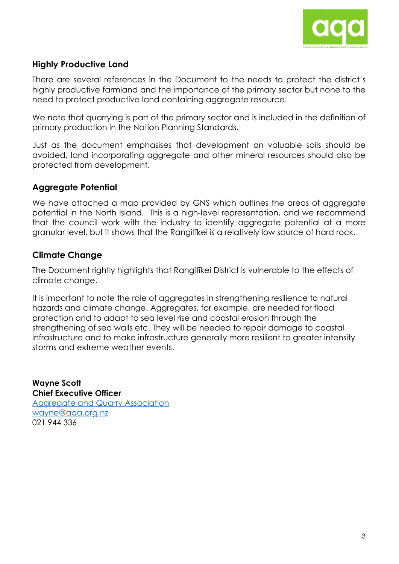

#### **Highly Productive Land**

There are several references in the Document to the needs to protect the district's highly productive farmland and the importance of the primary sector but none to the need to protect productive land containing aggregate resource.

We note that quarrying is part of the primary sector and is included in the definition of primary production in the Nation Planning Standards.

Just as the document emphasises that development on valuable soils should be avoided, land incorporating aggregate and other mineral resources should also be protected from development.

## **Aggregate Potential**

We have attached a map provided by GNS which outlines the areas of aggregate potential in the North Island. This is a high-level representation, and we recommend that the council work with the industry to identify aggregate potential at a more granular level, but it shows that the Rangitīkei is a relatively low source of hard rock.

## **Climate Change**

The Document rightly highlights that Rangitīkei District is vulnerable to the effects of climate change.

It is important to note the role of aggregates in strengthening resilience to natural hazards and climate change. Aggregates, for example, are needed for flood protection and to adapt to sea level rise and coastal erosion through the strengthening of sea walls etc. They will be needed to repair damage to coastal infrastructure and to make infrastructure generally more resilient to greater intensity storms and extreme weather events.

**Wayne Scott Chief Executive Officer**  [Aggregate and Quarry Association](https://aqa.org.nz/)  [wayne@aqa.org.nz](mailto:wayne@aqa.org.nz) 021 944 336